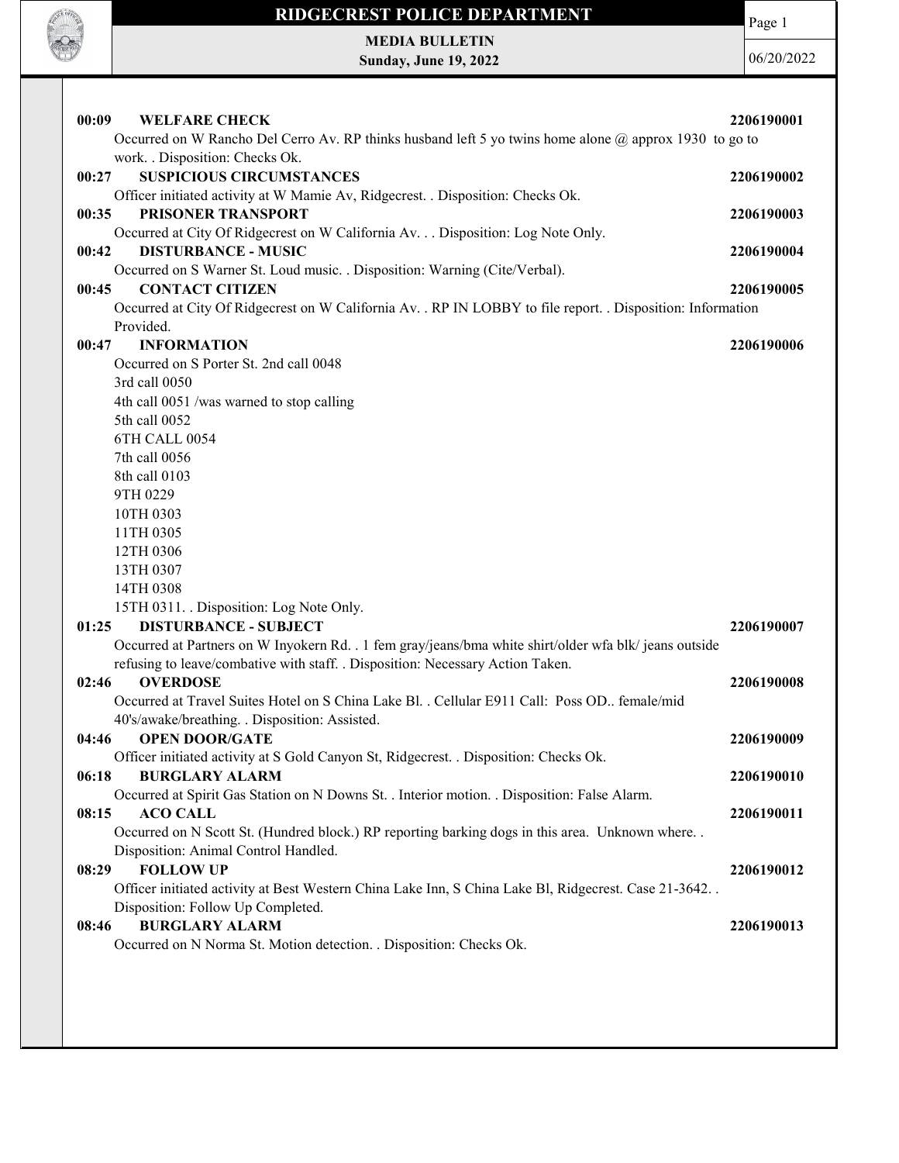

MEDIA BULLETIN Sunday, June 19, 2022 Page 1

| 00:09<br><b>WELFARE CHECK</b>                                                                                                                                                            | 2206190001 |
|------------------------------------------------------------------------------------------------------------------------------------------------------------------------------------------|------------|
| Occurred on W Rancho Del Cerro Av. RP thinks husband left 5 yo twins home alone @ approx 1930 to go to                                                                                   |            |
| work. . Disposition: Checks Ok.                                                                                                                                                          |            |
| <b>SUSPICIOUS CIRCUMSTANCES</b><br>00:27                                                                                                                                                 | 2206190002 |
| Officer initiated activity at W Mamie Av, Ridgecrest. . Disposition: Checks Ok.                                                                                                          |            |
| PRISONER TRANSPORT<br>00:35                                                                                                                                                              | 2206190003 |
| Occurred at City Of Ridgecrest on W California Av. Disposition: Log Note Only.<br><b>DISTURBANCE - MUSIC</b><br>00:42                                                                    | 2206190004 |
| Occurred on S Warner St. Loud music. . Disposition: Warning (Cite/Verbal).                                                                                                               |            |
| <b>CONTACT CITIZEN</b><br>00:45                                                                                                                                                          | 2206190005 |
| Occurred at City Of Ridgecrest on W California Av. . RP IN LOBBY to file report. . Disposition: Information                                                                              |            |
| Provided.                                                                                                                                                                                |            |
| <b>INFORMATION</b><br>00:47                                                                                                                                                              | 2206190006 |
| Occurred on S Porter St. 2nd call 0048                                                                                                                                                   |            |
| 3rd call 0050                                                                                                                                                                            |            |
| 4th call 0051 /was warned to stop calling                                                                                                                                                |            |
| 5th call 0052                                                                                                                                                                            |            |
| 6TH CALL 0054                                                                                                                                                                            |            |
| 7th call 0056                                                                                                                                                                            |            |
| 8th call 0103                                                                                                                                                                            |            |
| 9TH 0229                                                                                                                                                                                 |            |
| 10TH 0303                                                                                                                                                                                |            |
| 11TH 0305                                                                                                                                                                                |            |
| 12TH 0306                                                                                                                                                                                |            |
| 13TH 0307                                                                                                                                                                                |            |
| 14TH 0308                                                                                                                                                                                |            |
| 15TH 0311. Disposition: Log Note Only.                                                                                                                                                   |            |
| <b>DISTURBANCE - SUBJECT</b><br>01:25                                                                                                                                                    | 2206190007 |
| Occurred at Partners on W Inyokern Rd. . 1 fem gray/jeans/bma white shirt/older wfa blk/ jeans outside<br>refusing to leave/combative with staff. . Disposition: Necessary Action Taken. |            |
| 02:46<br><b>OVERDOSE</b>                                                                                                                                                                 | 2206190008 |
| Occurred at Travel Suites Hotel on S China Lake Bl. . Cellular E911 Call: Poss OD female/mid                                                                                             |            |
| 40's/awake/breathing. . Disposition: Assisted.                                                                                                                                           |            |
| <b>OPEN DOOR/GATE</b><br>04:46                                                                                                                                                           | 2206190009 |
| Officer initiated activity at S Gold Canyon St, Ridgecrest. . Disposition: Checks Ok.                                                                                                    |            |
| 06:18<br><b>BURGLARY ALARM</b>                                                                                                                                                           | 2206190010 |
| Occurred at Spirit Gas Station on N Downs St. . Interior motion. . Disposition: False Alarm.                                                                                             |            |
| 08:15<br><b>ACO CALL</b>                                                                                                                                                                 | 2206190011 |
| Occurred on N Scott St. (Hundred block.) RP reporting barking dogs in this area. Unknown where                                                                                           |            |
| Disposition: Animal Control Handled.                                                                                                                                                     |            |
| <b>FOLLOW UP</b><br>08:29                                                                                                                                                                | 2206190012 |
| Officer initiated activity at Best Western China Lake Inn, S China Lake Bl, Ridgecrest. Case 21-3642. .                                                                                  |            |
| Disposition: Follow Up Completed.                                                                                                                                                        |            |
| <b>BURGLARY ALARM</b><br>08:46                                                                                                                                                           | 2206190013 |
| Occurred on N Norma St. Motion detection. . Disposition: Checks Ok.                                                                                                                      |            |
|                                                                                                                                                                                          |            |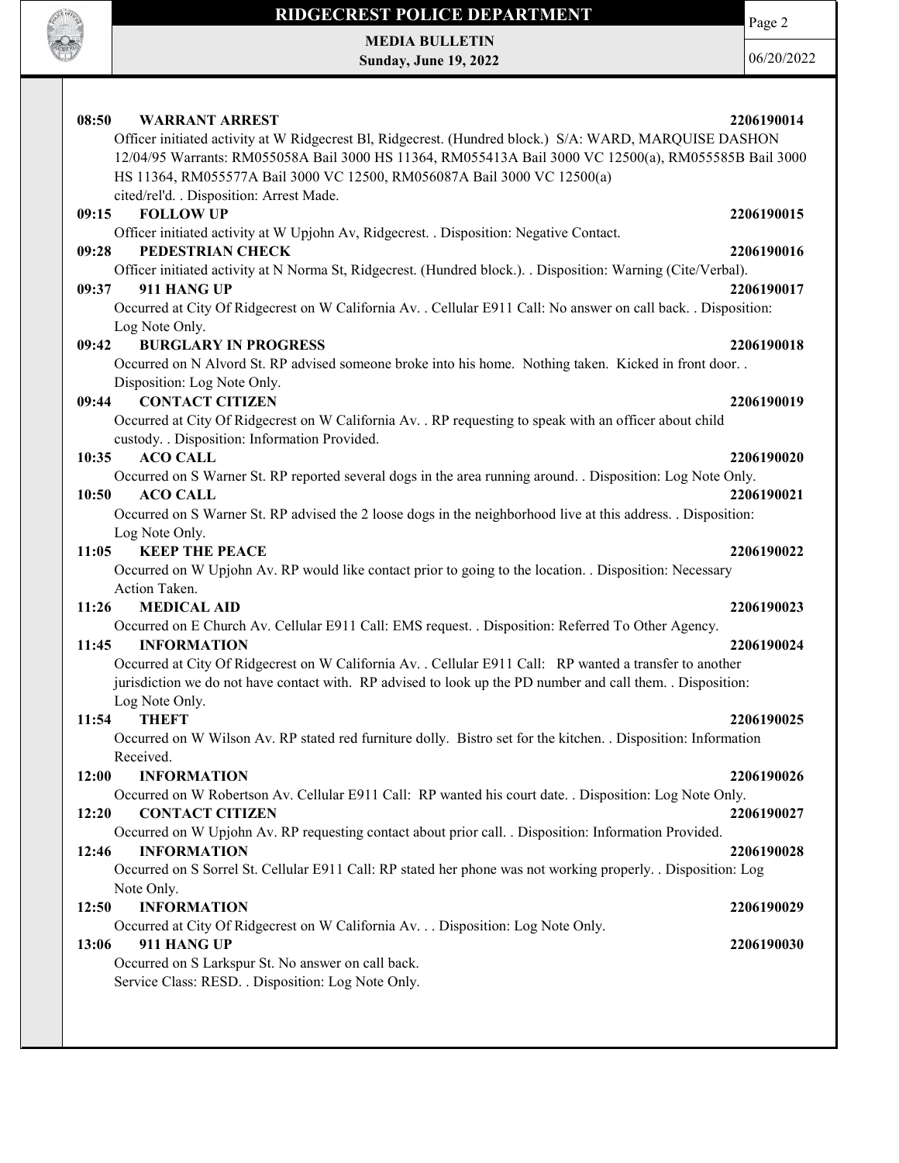

Page 2

MEDIA BULLETIN Sunday, June 19, 2022

| 08:50<br><b>WARRANT ARREST</b><br>Officer initiated activity at W Ridgecrest Bl, Ridgecrest. (Hundred block.) S/A: WARD, MARQUISE DASHON<br>12/04/95 Warrants: RM055058A Bail 3000 HS 11364, RM055413A Bail 3000 VC 12500(a), RM055585B Bail 3000<br>HS 11364, RM055577A Bail 3000 VC 12500, RM056087A Bail 3000 VC 12500(a)<br>cited/rel'd. . Disposition: Arrest Made. | 2206190014 |
|--------------------------------------------------------------------------------------------------------------------------------------------------------------------------------------------------------------------------------------------------------------------------------------------------------------------------------------------------------------------------|------------|
| <b>FOLLOW UP</b><br>09:15                                                                                                                                                                                                                                                                                                                                                | 2206190015 |
| Officer initiated activity at W Upjohn Av, Ridgecrest. . Disposition: Negative Contact.                                                                                                                                                                                                                                                                                  |            |
| PEDESTRIAN CHECK<br>09:28                                                                                                                                                                                                                                                                                                                                                | 2206190016 |
| Officer initiated activity at N Norma St, Ridgecrest. (Hundred block.). . Disposition: Warning (Cite/Verbal).                                                                                                                                                                                                                                                            |            |
| 09:37<br>911 HANG UP                                                                                                                                                                                                                                                                                                                                                     | 2206190017 |
| Occurred at City Of Ridgecrest on W California Av. . Cellular E911 Call: No answer on call back. . Disposition:                                                                                                                                                                                                                                                          |            |
| Log Note Only.                                                                                                                                                                                                                                                                                                                                                           |            |
| <b>BURGLARY IN PROGRESS</b><br>09:42                                                                                                                                                                                                                                                                                                                                     | 2206190018 |
| Occurred on N Alvord St. RP advised someone broke into his home. Nothing taken. Kicked in front door                                                                                                                                                                                                                                                                     |            |
| Disposition: Log Note Only.                                                                                                                                                                                                                                                                                                                                              |            |
| <b>CONTACT CITIZEN</b><br>09:44                                                                                                                                                                                                                                                                                                                                          | 2206190019 |
| Occurred at City Of Ridgecrest on W California Av. . RP requesting to speak with an officer about child                                                                                                                                                                                                                                                                  |            |
| custody. . Disposition: Information Provided.                                                                                                                                                                                                                                                                                                                            |            |
| <b>ACO CALL</b><br>10:35                                                                                                                                                                                                                                                                                                                                                 | 2206190020 |
| Occurred on S Warner St. RP reported several dogs in the area running around. . Disposition: Log Note Only.                                                                                                                                                                                                                                                              |            |
| <b>ACO CALL</b><br>10:50                                                                                                                                                                                                                                                                                                                                                 | 2206190021 |
| Occurred on S Warner St. RP advised the 2 loose dogs in the neighborhood live at this address. . Disposition:                                                                                                                                                                                                                                                            |            |
| Log Note Only.                                                                                                                                                                                                                                                                                                                                                           |            |
| <b>KEEP THE PEACE</b><br>11:05                                                                                                                                                                                                                                                                                                                                           | 2206190022 |
| Occurred on W Upjohn Av. RP would like contact prior to going to the location. . Disposition: Necessary                                                                                                                                                                                                                                                                  |            |
| Action Taken.                                                                                                                                                                                                                                                                                                                                                            |            |
| <b>MEDICAL AID</b><br>11:26                                                                                                                                                                                                                                                                                                                                              | 2206190023 |
| Occurred on E Church Av. Cellular E911 Call: EMS request. . Disposition: Referred To Other Agency.                                                                                                                                                                                                                                                                       |            |
| 11:45<br><b>INFORMATION</b>                                                                                                                                                                                                                                                                                                                                              | 2206190024 |
| Occurred at City Of Ridgecrest on W California Av. . Cellular E911 Call: RP wanted a transfer to another                                                                                                                                                                                                                                                                 |            |
| jurisdiction we do not have contact with. RP advised to look up the PD number and call them. Disposition:                                                                                                                                                                                                                                                                |            |
| Log Note Only.                                                                                                                                                                                                                                                                                                                                                           |            |
| 11:54<br><b>THEFT</b>                                                                                                                                                                                                                                                                                                                                                    | 2206190025 |
| Occurred on W Wilson Av. RP stated red furniture dolly. Bistro set for the kitchen. . Disposition: Information                                                                                                                                                                                                                                                           |            |
| Received.                                                                                                                                                                                                                                                                                                                                                                |            |
| 12:00<br><b>INFORMATION</b>                                                                                                                                                                                                                                                                                                                                              | 2206190026 |
| Occurred on W Robertson Av. Cellular E911 Call: RP wanted his court date. . Disposition: Log Note Only.                                                                                                                                                                                                                                                                  |            |
| 12:20<br><b>CONTACT CITIZEN</b>                                                                                                                                                                                                                                                                                                                                          | 2206190027 |
| Occurred on W Upjohn Av. RP requesting contact about prior call. . Disposition: Information Provided.                                                                                                                                                                                                                                                                    |            |
| 12:46<br><b>INFORMATION</b>                                                                                                                                                                                                                                                                                                                                              | 2206190028 |
| Occurred on S Sorrel St. Cellular E911 Call: RP stated her phone was not working properly. . Disposition: Log                                                                                                                                                                                                                                                            |            |
| Note Only.                                                                                                                                                                                                                                                                                                                                                               |            |
| 12:50<br><b>INFORMATION</b>                                                                                                                                                                                                                                                                                                                                              | 2206190029 |
| Occurred at City Of Ridgecrest on W California Av. Disposition: Log Note Only.                                                                                                                                                                                                                                                                                           |            |
| 911 HANG UP<br>13:06                                                                                                                                                                                                                                                                                                                                                     | 2206190030 |
| Occurred on S Larkspur St. No answer on call back.                                                                                                                                                                                                                                                                                                                       |            |
| Service Class: RESD. . Disposition: Log Note Only.                                                                                                                                                                                                                                                                                                                       |            |
|                                                                                                                                                                                                                                                                                                                                                                          |            |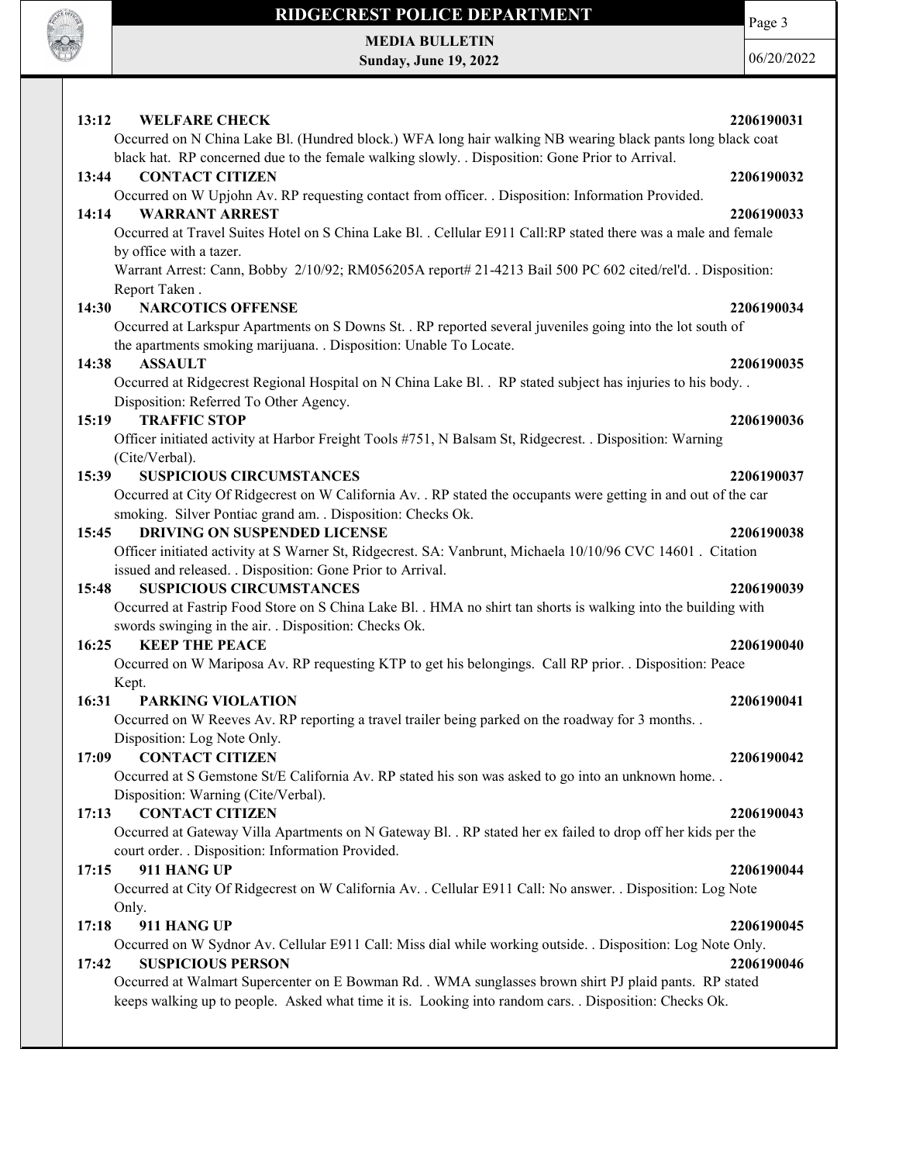

## RIDGECREST POLICE DEPARTMENT MEDIA BULLETIN

Sunday, June 19, 2022

Page 3

| 13:12<br><b>WELFARE CHECK</b>                                                                                                                                                                                    | 2206190031 |
|------------------------------------------------------------------------------------------------------------------------------------------------------------------------------------------------------------------|------------|
| Occurred on N China Lake Bl. (Hundred block.) WFA long hair walking NB wearing black pants long black coat<br>black hat. RP concerned due to the female walking slowly. . Disposition: Gone Prior to Arrival.    |            |
| 13:44<br><b>CONTACT CITIZEN</b>                                                                                                                                                                                  | 2206190032 |
| Occurred on W Upjohn Av. RP requesting contact from officer. . Disposition: Information Provided.<br><b>WARRANT ARREST</b><br>14:14                                                                              | 2206190033 |
| Occurred at Travel Suites Hotel on S China Lake Bl. . Cellular E911 Call:RP stated there was a male and female<br>by office with a tazer.                                                                        |            |
| Warrant Arrest: Cann, Bobby 2/10/92; RM056205A report# 21-4213 Bail 500 PC 602 cited/rel'd. . Disposition:<br>Report Taken.                                                                                      |            |
| 14:30<br><b>NARCOTICS OFFENSE</b>                                                                                                                                                                                | 2206190034 |
| Occurred at Larkspur Apartments on S Downs St. . RP reported several juveniles going into the lot south of<br>the apartments smoking marijuana. . Disposition: Unable To Locate.                                 |            |
| 14:38<br><b>ASSAULT</b>                                                                                                                                                                                          | 2206190035 |
| Occurred at Ridgecrest Regional Hospital on N China Lake Bl. . RP stated subject has injuries to his body. .<br>Disposition: Referred To Other Agency.                                                           |            |
| <b>TRAFFIC STOP</b><br>15:19                                                                                                                                                                                     | 2206190036 |
| Officer initiated activity at Harbor Freight Tools #751, N Balsam St, Ridgecrest. . Disposition: Warning<br>(Cite/Verbal).                                                                                       |            |
| <b>SUSPICIOUS CIRCUMSTANCES</b><br>15:39                                                                                                                                                                         | 2206190037 |
| Occurred at City Of Ridgecrest on W California Av. . RP stated the occupants were getting in and out of the car<br>smoking. Silver Pontiac grand am. . Disposition: Checks Ok.                                   |            |
| <b>DRIVING ON SUSPENDED LICENSE</b><br>15:45                                                                                                                                                                     | 2206190038 |
| Officer initiated activity at S Warner St, Ridgecrest. SA: Vanbrunt, Michaela 10/10/96 CVC 14601. Citation                                                                                                       |            |
| issued and released. . Disposition: Gone Prior to Arrival.                                                                                                                                                       |            |
| <b>SUSPICIOUS CIRCUMSTANCES</b><br>15:48                                                                                                                                                                         | 2206190039 |
| Occurred at Fastrip Food Store on S China Lake Bl. . HMA no shirt tan shorts is walking into the building with                                                                                                   |            |
| swords swinging in the air. . Disposition: Checks Ok.                                                                                                                                                            |            |
| 16:25<br><b>KEEP THE PEACE</b>                                                                                                                                                                                   | 2206190040 |
| Occurred on W Mariposa Av. RP requesting KTP to get his belongings. Call RP prior. . Disposition: Peace<br>Kept.                                                                                                 |            |
| 16:31<br><b>PARKING VIOLATION</b>                                                                                                                                                                                | 2206190041 |
| Occurred on W Reeves Av. RP reporting a travel trailer being parked on the roadway for 3 months                                                                                                                  |            |
| Disposition: Log Note Only.                                                                                                                                                                                      |            |
| 17:09 CONTACT CITIZEN                                                                                                                                                                                            | 2206190042 |
| Occurred at S Gemstone St/E California Av. RP stated his son was asked to go into an unknown home<br>Disposition: Warning (Cite/Verbal).                                                                         |            |
| <b>CONTACT CITIZEN</b><br>17:13                                                                                                                                                                                  | 2206190043 |
| Occurred at Gateway Villa Apartments on N Gateway Bl. . RP stated her ex failed to drop off her kids per the<br>court order. . Disposition: Information Provided.                                                |            |
| 911 HANG UP<br>17:15                                                                                                                                                                                             | 2206190044 |
| Occurred at City Of Ridgecrest on W California Av. . Cellular E911 Call: No answer. . Disposition: Log Note<br>Only.                                                                                             |            |
| 911 HANG UP<br>17:18                                                                                                                                                                                             | 2206190045 |
| Occurred on W Sydnor Av. Cellular E911 Call: Miss dial while working outside. . Disposition: Log Note Only.<br><b>SUSPICIOUS PERSON</b><br>17:42                                                                 | 2206190046 |
| Occurred at Walmart Supercenter on E Bowman Rd. . WMA sunglasses brown shirt PJ plaid pants. RP stated<br>keeps walking up to people. Asked what time it is. Looking into random cars. . Disposition: Checks Ok. |            |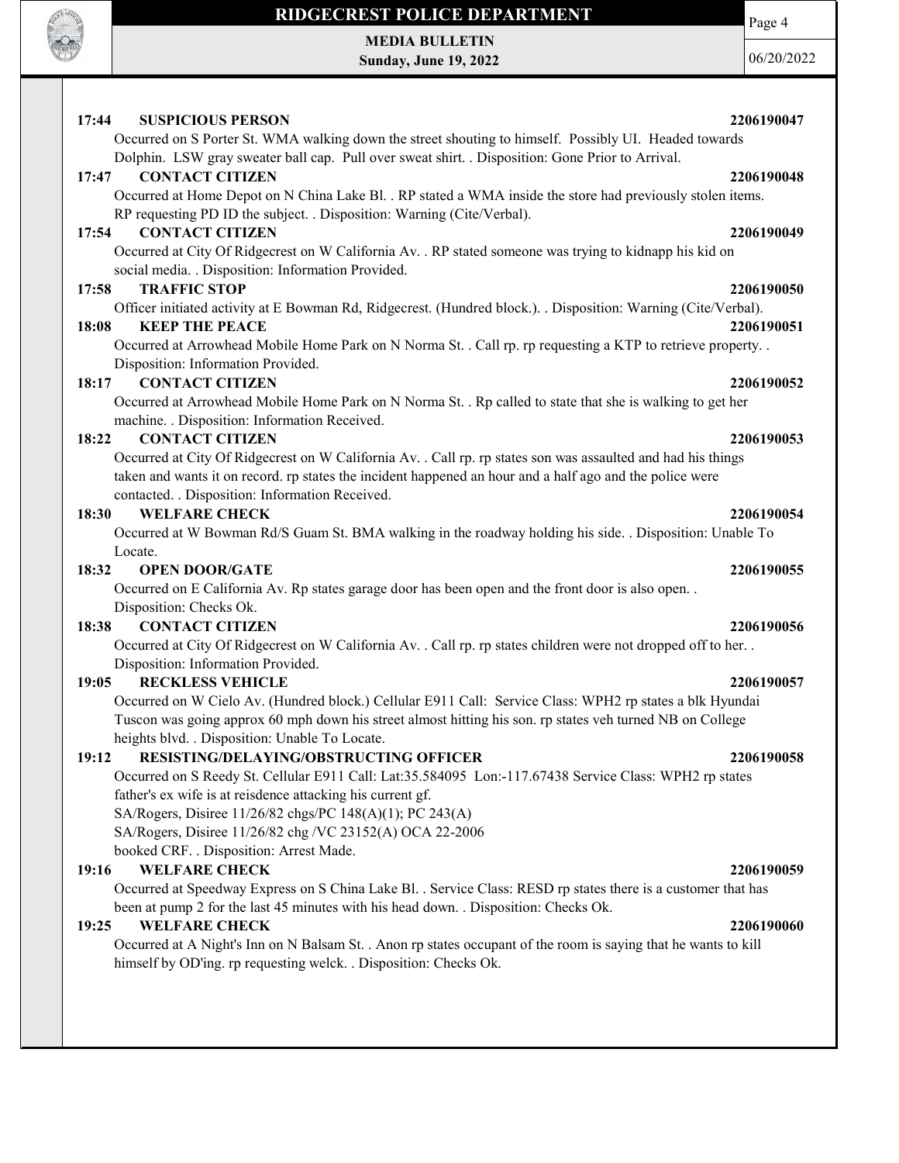

MEDIA BULLETIN Sunday, June 19, 2022 Page 4

| <b>SUSPICIOUS PERSON</b><br>17:44<br>2206190047                                                                                                                                                                                                                             |
|-----------------------------------------------------------------------------------------------------------------------------------------------------------------------------------------------------------------------------------------------------------------------------|
| Occurred on S Porter St. WMA walking down the street shouting to himself. Possibly UI. Headed towards                                                                                                                                                                       |
| Dolphin. LSW gray sweater ball cap. Pull over sweat shirt. . Disposition: Gone Prior to Arrival.                                                                                                                                                                            |
| <b>CONTACT CITIZEN</b><br>17:47<br>2206190048                                                                                                                                                                                                                               |
| Occurred at Home Depot on N China Lake Bl. . RP stated a WMA inside the store had previously stolen items.<br>RP requesting PD ID the subject. . Disposition: Warning (Cite/Verbal).                                                                                        |
| <b>CONTACT CITIZEN</b><br>17:54<br>2206190049                                                                                                                                                                                                                               |
| Occurred at City Of Ridgecrest on W California Av. . RP stated someone was trying to kidnapp his kid on<br>social media. . Disposition: Information Provided.                                                                                                               |
| <b>TRAFFIC STOP</b><br>17:58<br>2206190050                                                                                                                                                                                                                                  |
| Officer initiated activity at E Bowman Rd, Ridgecrest. (Hundred block.). . Disposition: Warning (Cite/Verbal).                                                                                                                                                              |
| <b>KEEP THE PEACE</b><br>18:08<br>2206190051                                                                                                                                                                                                                                |
| Occurred at Arrowhead Mobile Home Park on N Norma St. . Call rp. rp requesting a KTP to retrieve property. .                                                                                                                                                                |
| Disposition: Information Provided.                                                                                                                                                                                                                                          |
| <b>CONTACT CITIZEN</b><br>18:17<br>2206190052                                                                                                                                                                                                                               |
| Occurred at Arrowhead Mobile Home Park on N Norma St. . Rp called to state that she is walking to get her<br>machine. . Disposition: Information Received.                                                                                                                  |
| <b>CONTACT CITIZEN</b><br>18:22<br>2206190053                                                                                                                                                                                                                               |
| Occurred at City Of Ridgecrest on W California Av. . Call rp. rp states son was assaulted and had his things<br>taken and wants it on record. rp states the incident happened an hour and a half ago and the police were<br>contacted. . Disposition: Information Received. |
| <b>WELFARE CHECK</b><br>18:30<br>2206190054                                                                                                                                                                                                                                 |
| Occurred at W Bowman Rd/S Guam St. BMA walking in the roadway holding his side. . Disposition: Unable To                                                                                                                                                                    |
| Locate.                                                                                                                                                                                                                                                                     |
| <b>OPEN DOOR/GATE</b><br>18:32<br>2206190055                                                                                                                                                                                                                                |
| Occurred on E California Av. Rp states garage door has been open and the front door is also open                                                                                                                                                                            |
| Disposition: Checks Ok.                                                                                                                                                                                                                                                     |
| <b>CONTACT CITIZEN</b><br>18:38<br>2206190056                                                                                                                                                                                                                               |
| Occurred at City Of Ridgecrest on W California Av. . Call rp. rp states children were not dropped off to her. .<br>Disposition: Information Provided.                                                                                                                       |
| <b>RECKLESS VEHICLE</b><br>19:05<br>2206190057                                                                                                                                                                                                                              |
| Occurred on W Cielo Av. (Hundred block.) Cellular E911 Call: Service Class: WPH2 rp states a blk Hyundai<br>Tuscon was going approx 60 mph down his street almost hitting his son. rp states veh turned NB on College<br>heights blvd. . Disposition: Unable To Locate.     |
| RESISTING/DELAYING/OBSTRUCTING OFFICER<br>19:12<br>2206190058                                                                                                                                                                                                               |
| Occurred on S Reedy St. Cellular E911 Call: Lat:35.584095 Lon:-117.67438 Service Class: WPH2 rp states                                                                                                                                                                      |
| father's ex wife is at reisdence attacking his current gf.                                                                                                                                                                                                                  |
| SA/Rogers, Disiree 11/26/82 chgs/PC 148(A)(1); PC 243(A)                                                                                                                                                                                                                    |
| SA/Rogers, Disiree 11/26/82 chg /VC 23152(A) OCA 22-2006                                                                                                                                                                                                                    |
| booked CRF. . Disposition: Arrest Made.                                                                                                                                                                                                                                     |
| <b>WELFARE CHECK</b><br>19:16<br>2206190059                                                                                                                                                                                                                                 |
| Occurred at Speedway Express on S China Lake Bl. . Service Class: RESD rp states there is a customer that has<br>been at pump 2 for the last 45 minutes with his head down. . Disposition: Checks Ok.                                                                       |
| <b>WELFARE CHECK</b><br>19:25<br>2206190060                                                                                                                                                                                                                                 |
| Occurred at A Night's Inn on N Balsam St. . Anon rp states occupant of the room is saying that he wants to kill<br>himself by OD'ing. rp requesting welck. . Disposition: Checks Ok.                                                                                        |
|                                                                                                                                                                                                                                                                             |
|                                                                                                                                                                                                                                                                             |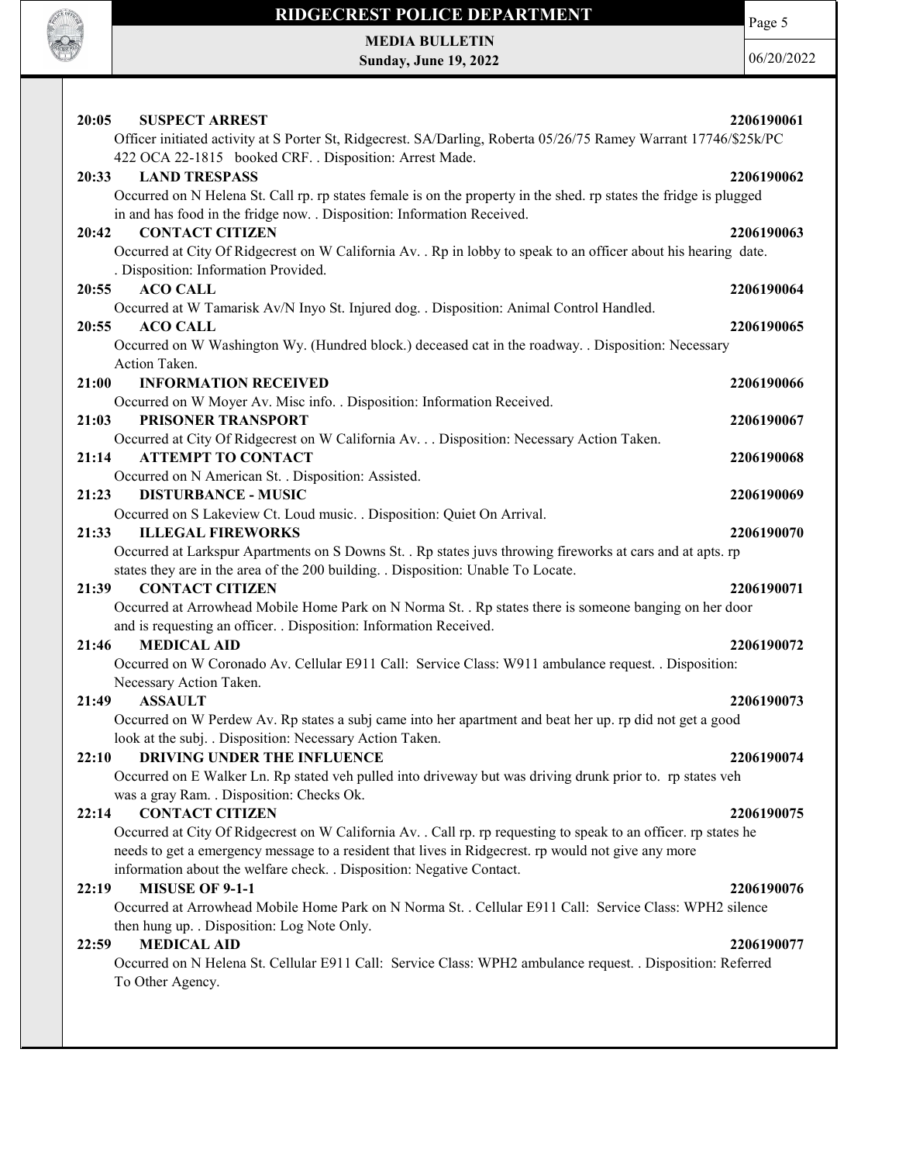

Page 5

MEDIA BULLETIN Sunday, June 19, 2022

| 20:05<br><b>SUSPECT ARREST</b>                                                                                     | 2206190061 |
|--------------------------------------------------------------------------------------------------------------------|------------|
| Officer initiated activity at S Porter St, Ridgecrest. SA/Darling, Roberta 05/26/75 Ramey Warrant 17746/\$25k/PC   |            |
| 422 OCA 22-1815 booked CRF. . Disposition: Arrest Made.                                                            |            |
| <b>LAND TRESPASS</b><br>20:33                                                                                      | 2206190062 |
| Occurred on N Helena St. Call rp. rp states female is on the property in the shed. rp states the fridge is plugged |            |
| in and has food in the fridge now. . Disposition: Information Received.                                            |            |
| 20:42<br><b>CONTACT CITIZEN</b>                                                                                    | 2206190063 |
| Occurred at City Of Ridgecrest on W California Av. . Rp in lobby to speak to an officer about his hearing date.    |            |
|                                                                                                                    |            |
| . Disposition: Information Provided.                                                                               |            |
| <b>ACO CALL</b><br>20:55                                                                                           | 2206190064 |
| Occurred at W Tamarisk Av/N Inyo St. Injured dog. . Disposition: Animal Control Handled.                           |            |
| <b>ACO CALL</b><br>20:55                                                                                           | 2206190065 |
| Occurred on W Washington Wy. (Hundred block.) deceased cat in the roadway. . Disposition: Necessary                |            |
| Action Taken.                                                                                                      |            |
| <b>INFORMATION RECEIVED</b><br>21:00                                                                               | 2206190066 |
| Occurred on W Moyer Av. Misc info. . Disposition: Information Received.                                            |            |
|                                                                                                                    |            |
| 21:03<br>PRISONER TRANSPORT                                                                                        | 2206190067 |
| Occurred at City Of Ridgecrest on W California Av. Disposition: Necessary Action Taken.                            |            |
| 21:14<br><b>ATTEMPT TO CONTACT</b>                                                                                 | 2206190068 |
| Occurred on N American St. . Disposition: Assisted.                                                                |            |
| 21:23<br><b>DISTURBANCE - MUSIC</b>                                                                                | 2206190069 |
| Occurred on S Lakeview Ct. Loud music. . Disposition: Quiet On Arrival.                                            |            |
| 21:33<br><b>ILLEGAL FIREWORKS</b>                                                                                  | 2206190070 |
| Occurred at Larkspur Apartments on S Downs St. . Rp states juvs throwing fireworks at cars and at apts. rp         |            |
|                                                                                                                    |            |
| states they are in the area of the 200 building. . Disposition: Unable To Locate.                                  |            |
| <b>CONTACT CITIZEN</b><br>21:39                                                                                    | 2206190071 |
| Occurred at Arrowhead Mobile Home Park on N Norma St. . Rp states there is someone banging on her door             |            |
| and is requesting an officer. . Disposition: Information Received.                                                 |            |
| <b>MEDICAL AID</b><br>21:46                                                                                        | 2206190072 |
| Occurred on W Coronado Av. Cellular E911 Call: Service Class: W911 ambulance request. . Disposition:               |            |
| Necessary Action Taken.                                                                                            |            |
|                                                                                                                    |            |
| 21:49<br><b>ASSAULT</b>                                                                                            | 2206190073 |
| Occurred on W Perdew Av. Rp states a subj came into her apartment and beat her up. rp did not get a good           |            |
| look at the subj. . Disposition: Necessary Action Taken.                                                           |            |
| <b>DRIVING UNDER THE INFLUENCE</b><br>22:10                                                                        | 2206190074 |
| Occurred on E Walker Ln. Rp stated veh pulled into driveway but was driving drunk prior to. rp states veh          |            |
| was a gray Ram. . Disposition: Checks Ok.                                                                          |            |
| <b>CONTACT CITIZEN</b><br>22:14                                                                                    | 2206190075 |
| Occurred at City Of Ridgecrest on W California Av. . Call rp. rp requesting to speak to an officer. rp states he   |            |
| needs to get a emergency message to a resident that lives in Ridgecrest. rp would not give any more                |            |
|                                                                                                                    |            |
| information about the welfare check. . Disposition: Negative Contact.                                              |            |
| <b>MISUSE OF 9-1-1</b><br>22:19                                                                                    | 2206190076 |
| Occurred at Arrowhead Mobile Home Park on N Norma St. . Cellular E911 Call: Service Class: WPH2 silence            |            |
| then hung up. . Disposition: Log Note Only.                                                                        |            |
| <b>MEDICAL AID</b><br>22:59                                                                                        | 2206190077 |
| Occurred on N Helena St. Cellular E911 Call: Service Class: WPH2 ambulance request. . Disposition: Referred        |            |
| To Other Agency.                                                                                                   |            |
|                                                                                                                    |            |
|                                                                                                                    |            |
|                                                                                                                    |            |
|                                                                                                                    |            |